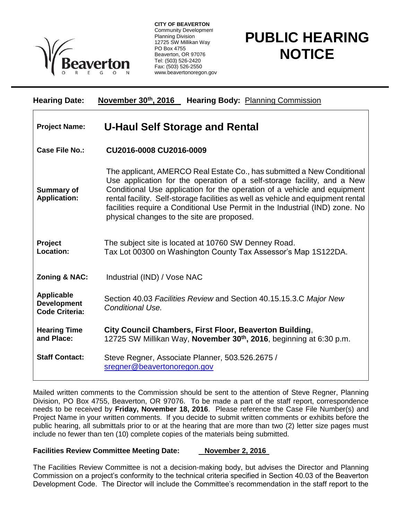

**CITY OF BEAVERTON** Community Development Planning Division 12725 SW Millikan Way PO Box 4755 Beaverton, OR 97076 Tel: (503) 526-2420 Fax: (503) 526-2550 www.beavertonoregon.gov

## **PUBLIC HEARING NOTICE**

| <b>Hearing Date:</b>                                             | November $30th$ , 2016<br><b>Hearing Body: Planning Commission</b>                                                                                                                                                                                                                                                                                                                                                                              |
|------------------------------------------------------------------|-------------------------------------------------------------------------------------------------------------------------------------------------------------------------------------------------------------------------------------------------------------------------------------------------------------------------------------------------------------------------------------------------------------------------------------------------|
| <b>Project Name:</b>                                             | <b>U-Haul Self Storage and Rental</b>                                                                                                                                                                                                                                                                                                                                                                                                           |
| <b>Case File No.:</b>                                            | CU2016-0008 CU2016-0009                                                                                                                                                                                                                                                                                                                                                                                                                         |
| <b>Summary of</b><br><b>Application:</b>                         | The applicant, AMERCO Real Estate Co., has submitted a New Conditional<br>Use application for the operation of a self-storage facility, and a New<br>Conditional Use application for the operation of a vehicle and equipment<br>rental facility. Self-storage facilities as well as vehicle and equipment rental<br>facilities require a Conditional Use Permit in the Industrial (IND) zone. No<br>physical changes to the site are proposed. |
| Project<br>Location:                                             | The subject site is located at 10760 SW Denney Road.<br>Tax Lot 00300 on Washington County Tax Assessor's Map 1S122DA.                                                                                                                                                                                                                                                                                                                          |
| Zoning & NAC:                                                    | Industrial (IND) / Vose NAC                                                                                                                                                                                                                                                                                                                                                                                                                     |
| <b>Applicable</b><br><b>Development</b><br><b>Code Criteria:</b> | Section 40.03 Facilities Review and Section 40.15.15.3.C Major New<br>Conditional Use.                                                                                                                                                                                                                                                                                                                                                          |
| <b>Hearing Time</b><br>and Place:                                | City Council Chambers, First Floor, Beaverton Building,<br>12725 SW Millikan Way, November 30 <sup>th</sup> , 2016, beginning at 6:30 p.m.                                                                                                                                                                                                                                                                                                      |
| <b>Staff Contact:</b>                                            | Steve Regner, Associate Planner, 503.526.2675 /<br>sregner@beavertonoregon.gov                                                                                                                                                                                                                                                                                                                                                                  |

Mailed written comments to the Commission should be sent to the attention of Steve Regner, Planning Division, PO Box 4755, Beaverton, OR 97076. To be made a part of the staff report, correspondence needs to be received by **Friday, November 18, 2016**. Please reference the Case File Number(s) and Project Name in your written comments. If you decide to submit written comments or exhibits before the public hearing, all submittals prior to or at the hearing that are more than two (2) letter size pages must include no fewer than ten (10) complete copies of the materials being submitted.

## **Facilities Review Committee Meeting Date: November 2, 2016**

The Facilities Review Committee is not a decision-making body, but advises the Director and Planning Commission on a project's conformity to the technical criteria specified in Section 40.03 of the Beaverton Development Code. The Director will include the Committee's recommendation in the staff report to the